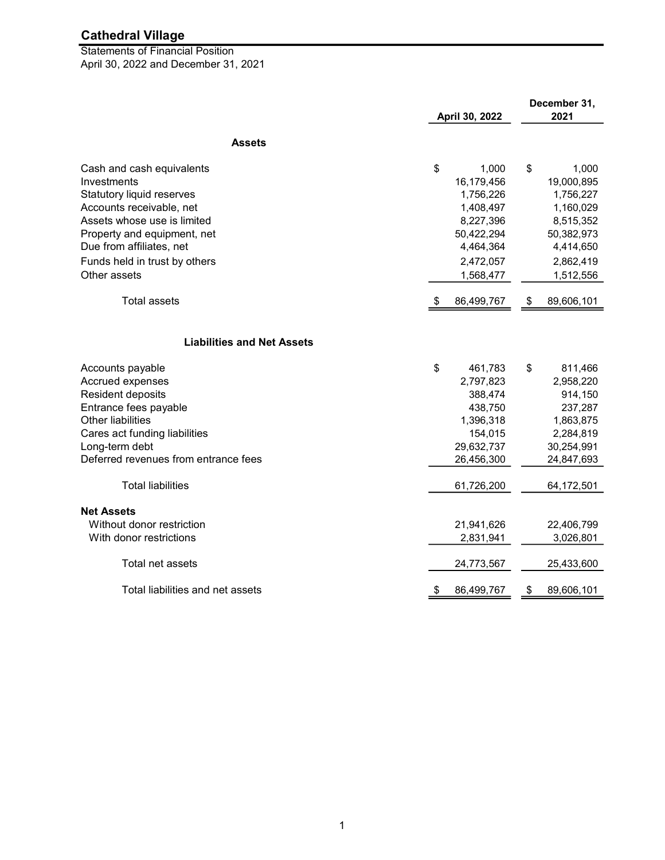April 30, 2022 and December 31, 2021 Statements of Financial Position

|                                      | April 30, 2022 |            | December 31,<br>2021 |            |
|--------------------------------------|----------------|------------|----------------------|------------|
| <b>Assets</b>                        |                |            |                      |            |
|                                      |                |            |                      |            |
| Cash and cash equivalents            | \$             | 1,000      | \$                   | 1,000      |
| Investments                          |                | 16,179,456 |                      | 19,000,895 |
| Statutory liquid reserves            |                | 1,756,226  |                      | 1,756,227  |
| Accounts receivable, net             |                | 1,408,497  |                      | 1,160,029  |
| Assets whose use is limited          |                | 8,227,396  |                      | 8,515,352  |
| Property and equipment, net          |                | 50,422,294 |                      | 50,382,973 |
| Due from affiliates, net             |                | 4,464,364  |                      | 4,414,650  |
| Funds held in trust by others        |                | 2,472,057  |                      | 2,862,419  |
| Other assets                         |                | 1,568,477  |                      | 1,512,556  |
| <b>Total assets</b>                  | \$             | 86,499,767 | \$                   | 89,606,101 |
|                                      |                |            |                      |            |
| <b>Liabilities and Net Assets</b>    |                |            |                      |            |
| Accounts payable                     | \$             | 461,783    | \$                   | 811,466    |
| Accrued expenses                     |                | 2,797,823  |                      | 2,958,220  |
| Resident deposits                    |                | 388,474    |                      | 914,150    |
| Entrance fees payable                |                | 438,750    |                      | 237,287    |
| <b>Other liabilities</b>             |                | 1,396,318  |                      | 1,863,875  |
| Cares act funding liabilities        |                | 154,015    |                      | 2,284,819  |
| Long-term debt                       |                | 29,632,737 |                      | 30,254,991 |
| Deferred revenues from entrance fees |                | 26,456,300 |                      | 24,847,693 |
| <b>Total liabilities</b>             |                | 61,726,200 |                      | 64,172,501 |
| <b>Net Assets</b>                    |                |            |                      |            |
| Without donor restriction            |                | 21,941,626 |                      | 22,406,799 |
| With donor restrictions              |                | 2,831,941  |                      | 3,026,801  |
| Total net assets                     |                | 24,773,567 |                      | 25,433,600 |
| Total liabilities and net assets     | \$             | 86,499,767 | \$                   | 89,606,101 |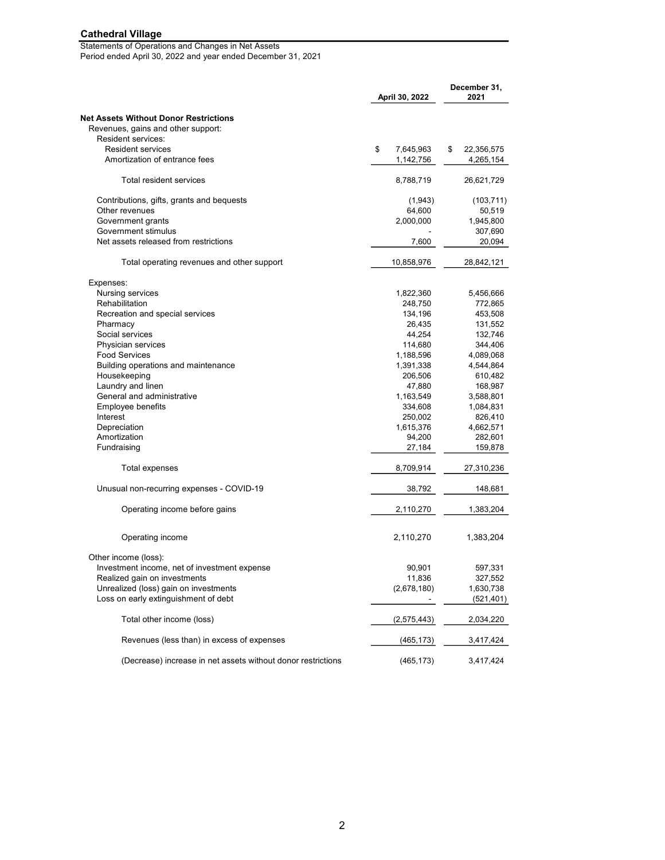#### Statements of Operations and Changes in Net Assets Period ended April 30, 2022 and year ended December 31, 2021

| April 30, 2022                                               |                 | December 31,<br>2021 |
|--------------------------------------------------------------|-----------------|----------------------|
| <b>Net Assets Without Donor Restrictions</b>                 |                 |                      |
| Revenues, gains and other support:                           |                 |                      |
| <b>Resident services:</b>                                    |                 |                      |
| <b>Resident services</b>                                     | \$<br>7,645,963 | \$<br>22,356,575     |
| Amortization of entrance fees                                | 1,142,756       | 4,265,154            |
| Total resident services                                      | 8,788,719       | 26,621,729           |
| Contributions, gifts, grants and bequests                    | (1,943)         | (103, 711)           |
| Other revenues                                               | 64,600          | 50,519               |
| Government grants                                            | 2,000,000       | 1,945,800            |
| Government stimulus                                          |                 | 307,690              |
| Net assets released from restrictions                        | 7,600           | 20,094               |
| Total operating revenues and other support                   | 10,858,976      | 28,842,121           |
| Expenses:                                                    |                 |                      |
| Nursing services                                             | 1,822,360       | 5,456,666            |
| Rehabilitation                                               | 248,750         | 772,865              |
| Recreation and special services                              | 134,196         | 453,508              |
| Pharmacy                                                     | 26,435          | 131,552              |
| Social services                                              | 44,254          | 132,746              |
| Physician services                                           | 114,680         | 344,406              |
| <b>Food Services</b>                                         | 1,188,596       | 4,089,068            |
| Building operations and maintenance                          | 1,391,338       | 4,544,864            |
| Housekeeping                                                 | 206,506         | 610,482              |
| Laundry and linen                                            | 47,880          | 168,987              |
| General and administrative                                   | 1,163,549       | 3,588,801            |
| Employee benefits                                            | 334,608         | 1,084,831            |
| Interest                                                     | 250,002         | 826,410              |
| Depreciation                                                 | 1,615,376       | 4,662,571            |
| Amortization                                                 | 94,200          | 282,601              |
| Fundraising                                                  | 27,184          | 159,878              |
|                                                              |                 |                      |
| Total expenses                                               | 8,709,914       | 27,310,236           |
| Unusual non-recurring expenses - COVID-19                    | 38,792          | 148,681              |
| Operating income before gains                                | 2,110,270       | 1,383,204            |
| Operating income                                             | 2,110,270       | 1,383,204            |
| Other income (loss):                                         |                 |                      |
| Investment income, net of investment expense                 | 90,901          | 597,331              |
| Realized gain on investments                                 | 11,836          | 327,552              |
| Unrealized (loss) gain on investments                        | (2,678,180)     | 1,630,738            |
| Loss on early extinguishment of debt                         |                 | (521, 401)           |
| Total other income (loss)                                    | (2,575,443)     | 2,034,220            |
| Revenues (less than) in excess of expenses                   | (465, 173)      | 3,417,424            |
| (Decrease) increase in net assets without donor restrictions | (465, 173)      | 3,417,424            |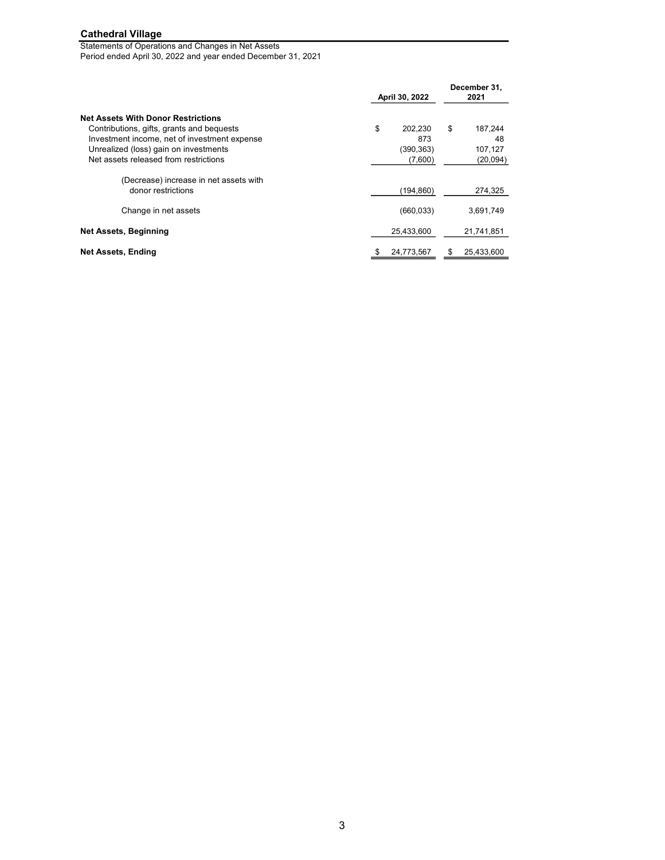Statements of Operations and Changes in Net Assets Period ended April 30, 2022 and year ended December 31, 2021

|                                                                                                                                                                                 | April 30, 2022                    | December 31,<br>2021           |  |
|---------------------------------------------------------------------------------------------------------------------------------------------------------------------------------|-----------------------------------|--------------------------------|--|
| <b>Net Assets With Donor Restrictions</b><br>Contributions, gifts, grants and bequests<br>Investment income, net of investment expense<br>Unrealized (loss) gain on investments | \$<br>202,230<br>873<br>(390,363) | \$<br>187,244<br>48<br>107,127 |  |
| Net assets released from restrictions<br>(Decrease) increase in net assets with<br>donor restrictions                                                                           | (7,600)<br>(194, 860)             | (20, 094)<br>274,325           |  |
| Change in net assets<br><b>Net Assets, Beginning</b>                                                                                                                            | (660, 033)<br>25,433,600          | 3,691,749<br>21,741,851        |  |
| <b>Net Assets, Ending</b>                                                                                                                                                       | 24,773,567<br>\$                  | 25,433,600<br>\$               |  |